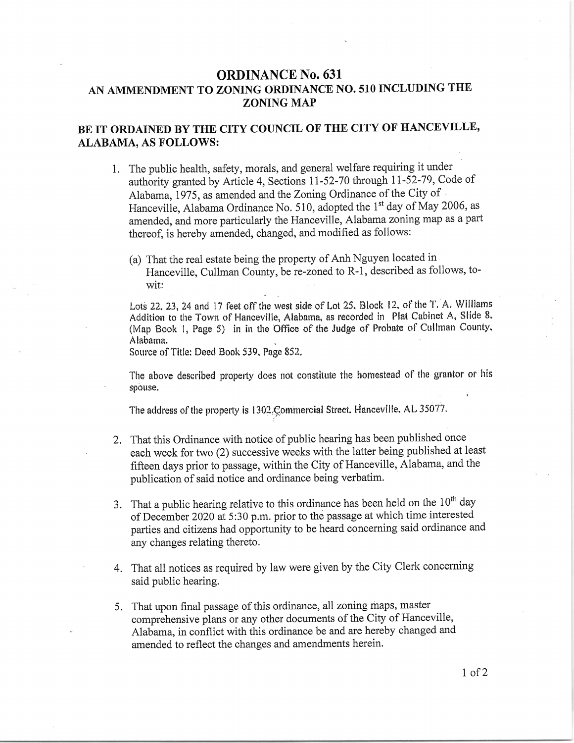## ORDINANCE No. 631 AN AMMENDMENT TO ZONING ORDINANCE NO. 510 INCLUDING THE ZONING MAP

## BE IT ORDAINED BY THE CITY COUNCIL OF THE CITY OF HANCEVILLE, ALABAMA, AS FOLLOWS:

- 1. The public health, safety, morals, and general welfare requiring it under authority granted by Article 4, Sections 11-52-70 through 11-52-79, Code of Alabama, 1975, as amended and the Zoning Ordinance of the City of Hanceville, Alabama Ordinance No. 510, adopted the 1<sup>st</sup> day of May 2006, as amended, and more particularly the Hanceville, Alabama zoning map as a part thereof, is hereby amended, changed, and modified as follows:
	- (a) That the real estate being the property of Anh Nguyen located in Hanceville, Cullman County, be re-zoned to R-1, described as follows, towit:

Lots 22, 23, 24 and 17 feet off the west side of Lot 25, Block 12, of the T. A. Williams Addition to the Town of Hanceville, Alabama, as recorded in Plat Cabinet A, Slide 8. (Map Book 1, Page 5) in in the Office of the Judge of Probate of Cullman County. Alabanra.

Source of Title: Deed Booh 539, Page 852.

The above described property does not constitute the homestead of the grantor or his spouse.

The address of the property is 1302.Commercial Street. Hanceville. AL 35077.

- 2, That this Ordinance with notice of public hearing has been published once each week for two (2) successive weeks with the latter being published at least fifteen days prior to passage, within the City of Hanceville, Alabama, and the publication of said notice and ordinance being verbatim.
- 3. That a public hearing relative to this ordinance has been held on the  $10<sup>th</sup>$  day of December 2020 at 5:30 p.m. prior to the passage at which time interested parties and citizens had opportunity to be heard concerning said ordinance and any changes relating thereto.
- 4. That all notices as required by law were given by the City Clerk concerning said public hearing.
- 5. That upon final passage of this ordinance, all zoning maps, master comprehensive plans or any other documents of the City of Hanceville, Alabama, in conflict with this ordinance be and are hereby changed and amended to reflect the changes and amendments herein.